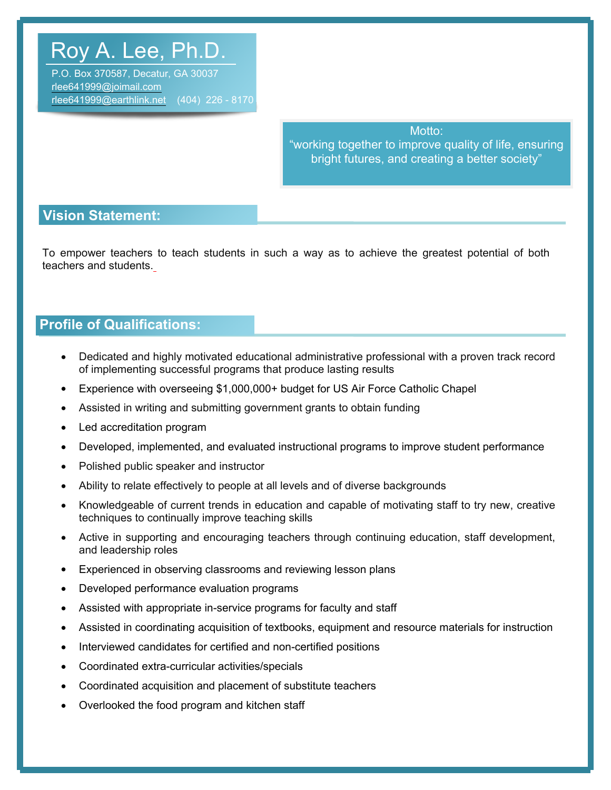# Roy A. Lee, Ph.D.

P.O. Box 370587, Decatur, GA 30037 rlee641999@joimail.com rlee641999@earthlink.net (404) 226 - 8170

> Motto: "working together to improve quality of life, ensuring bright futures, and creating a better society"

## **Vision Statement:**

To empower teachers to teach students in such a way as to achieve the greatest potential of both teachers and students.

# **Profile of Qualifications:**

- Dedicated and highly motivated educational administrative professional with a proven track record of implementing successful programs that produce lasting results
- Experience with overseeing \$1,000,000+ budget for US Air Force Catholic Chapel
- Assisted in writing and submitting government grants to obtain funding
- Led accreditation program
- Developed, implemented, and evaluated instructional programs to improve student performance
- Polished public speaker and instructor
- Ability to relate effectively to people at all levels and of diverse backgrounds
- Knowledgeable of current trends in education and capable of motivating staff to try new, creative techniques to continually improve teaching skills
- Active in supporting and encouraging teachers through continuing education, staff development, and leadership roles
- Experienced in observing classrooms and reviewing lesson plans
- Developed performance evaluation programs
- Assisted with appropriate in-service programs for faculty and staff
- Assisted in coordinating acquisition of textbooks, equipment and resource materials for instruction
- Interviewed candidates for certified and non-certified positions
- Coordinated extra-curricular activities/specials
- Coordinated acquisition and placement of substitute teachers
- Overlooked the food program and kitchen staff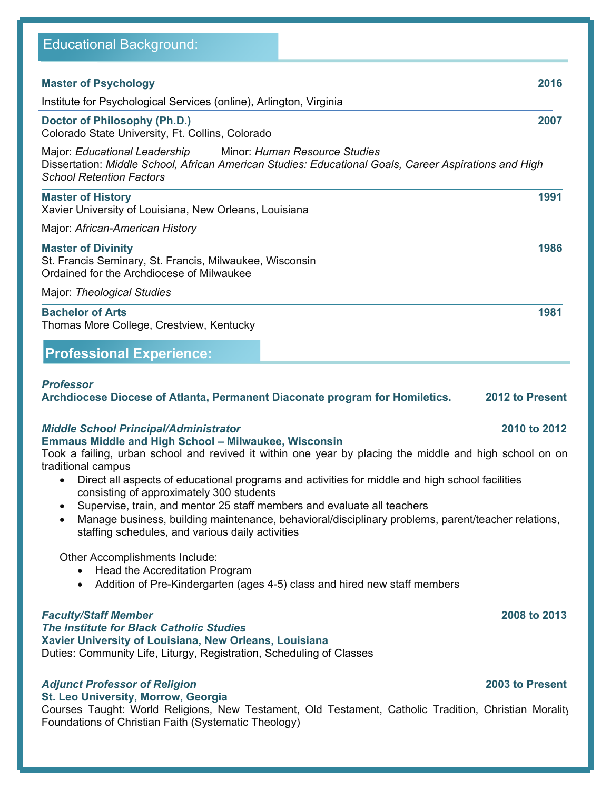| <b>Master of Psychology</b>                                                                                                                                                                                                                                                                                                                                                                                                                                                                                                                                                                                             | 2016                            |
|-------------------------------------------------------------------------------------------------------------------------------------------------------------------------------------------------------------------------------------------------------------------------------------------------------------------------------------------------------------------------------------------------------------------------------------------------------------------------------------------------------------------------------------------------------------------------------------------------------------------------|---------------------------------|
| Institute for Psychological Services (online), Arlington, Virginia                                                                                                                                                                                                                                                                                                                                                                                                                                                                                                                                                      |                                 |
| Doctor of Philosophy (Ph.D.)<br>Colorado State University, Ft. Collins, Colorado                                                                                                                                                                                                                                                                                                                                                                                                                                                                                                                                        | 2007                            |
| Major: Educational Leadership<br>Minor: Human Resource Studies<br>Dissertation: Middle School, African American Studies: Educational Goals, Career Aspirations and High<br><b>School Retention Factors</b>                                                                                                                                                                                                                                                                                                                                                                                                              |                                 |
| <b>Master of History</b><br>Xavier University of Louisiana, New Orleans, Louisiana                                                                                                                                                                                                                                                                                                                                                                                                                                                                                                                                      | 1991                            |
| Major: African-American History                                                                                                                                                                                                                                                                                                                                                                                                                                                                                                                                                                                         |                                 |
| <b>Master of Divinity</b><br>St. Francis Seminary, St. Francis, Milwaukee, Wisconsin<br>Ordained for the Archdiocese of Milwaukee                                                                                                                                                                                                                                                                                                                                                                                                                                                                                       | 1986                            |
| Major: Theological Studies                                                                                                                                                                                                                                                                                                                                                                                                                                                                                                                                                                                              |                                 |
| <b>Bachelor of Arts</b><br>Thomas More College, Crestview, Kentucky                                                                                                                                                                                                                                                                                                                                                                                                                                                                                                                                                     | 1981                            |
| <b>Professional Experience:</b>                                                                                                                                                                                                                                                                                                                                                                                                                                                                                                                                                                                         |                                 |
| Archdiocese Diocese of Atlanta, Permanent Diaconate program for Homiletics.<br><b>Middle School Principal/Administrator</b>                                                                                                                                                                                                                                                                                                                                                                                                                                                                                             | 2012 to Present<br>2010 to 2012 |
| <b>Emmaus Middle and High School - Milwaukee, Wisconsin</b><br>Took a failing, urban school and revived it within one year by placing the middle and high school on on<br>traditional campus<br>Direct all aspects of educational programs and activities for middle and high school facilities<br>$\bullet$<br>consisting of approximately 300 students<br>Supervise, train, and mentor 25 staff members and evaluate all teachers<br>$\bullet$<br>Manage business, building maintenance, behavioral/disciplinary problems, parent/teacher relations,<br>$\bullet$<br>staffing schedules, and various daily activities |                                 |
| Other Accomplishments Include:<br>Head the Accreditation Program<br>$\bullet$<br>Addition of Pre-Kindergarten (ages 4-5) class and hired new staff members<br>$\bullet$                                                                                                                                                                                                                                                                                                                                                                                                                                                 |                                 |
| <b>Faculty/Staff Member</b><br>The Institute for Black Catholic Studies<br>Xavier University of Louisiana, New Orleans, Louisiana<br>Duties: Community Life, Liturgy, Registration, Scheduling of Classes                                                                                                                                                                                                                                                                                                                                                                                                               | 2008 to 2013                    |
| <b>Adjunct Professor of Religion</b><br>St. Leo University, Morrow, Georgia<br>Courses Taught: World Religions, New Testament, Old Testament, Catholic Tradition, Christian Morality<br>Foundations of Christian Faith (Systematic Theology)                                                                                                                                                                                                                                                                                                                                                                            | 2003 to Present                 |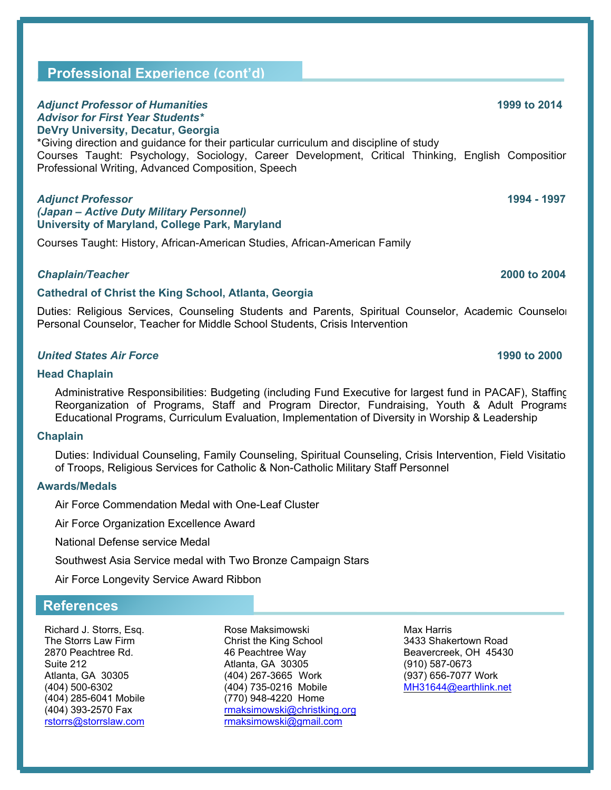# **Professional Experience (cont'd)**

### *Adjunct Professor of Humanities* **1999 to 2014** *Advisor for First Year Students\** **DeVry University, Decatur, Georgia**

\*Giving direction and guidance for their particular curriculum and discipline of study Courses Taught: Psychology, Sociology, Career Development, Critical Thinking, English Composition Professional Writing, Advanced Composition, Speech

### *Adjunct Professor* **1994 - 1997** *(Japan – Active Duty Military Personnel)* **University of Maryland, College Park, Maryland**

Courses Taught: History, African-American Studies, African-American Family

### *Chaplain/Teacher* **2000 to 2004**

### **Cathedral of Christ the King School, Atlanta, Georgia**

Duties: Religious Services, Counseling Students and Parents, Spiritual Counselor, Academic Counselor Personal Counselor, Teacher for Middle School Students, Crisis Intervention

### *United States Air Force* **1990 to 2000**

### **Head Chaplain**

Administrative Responsibilities: Budgeting (including Fund Executive for largest fund in PACAF), Staffing Reorganization of Programs, Staff and Program Director, Fundraising, Youth & Adult Programs Educational Programs, Curriculum Evaluation, Implementation of Diversity in Worship & Leadership

### **Chaplain**

Duties: Individual Counseling, Family Counseling, Spiritual Counseling, Crisis Intervention, Field Visitatio of Troops, Religious Services for Catholic & Non-Catholic Military Staff Personnel

### **Awards/Medals**

Air Force Commendation Medal with One-Leaf Cluster

Air Force Organization Excellence Award

National Defense service Medal

Southwest Asia Service medal with Two Bronze Campaign Stars

Air Force Longevity Service Award Ribbon

### **References**

(404) 285-6041 Mobile (770) 948-4220 Home

Richard J. Storrs, Esq. The Rose Maksimowski Charles Max Harris The Storrs Law Firm **The Storrs Law Firm Christ the King School** 3433 Shakertown Road 2870 Peachtree Rd. **3433** Shakertown Road 2870 Peachtree Way 46 Peachtree Way Beavercreek, OH 45430 Suite 212 **Atlanta, GA 30305** (910) 587-0673 Atlanta, GA 30305 (404) 267-3665 Work (937) 656-7077 Work (404) 500-6302 (404) 735-0216 Mobile MH31644@earthlink.net (404) 393-2570 Fax rmaksimowski@christking.org rstorrs@storrslaw.com rmaksimowski@gmail.com

**Professional Experienc**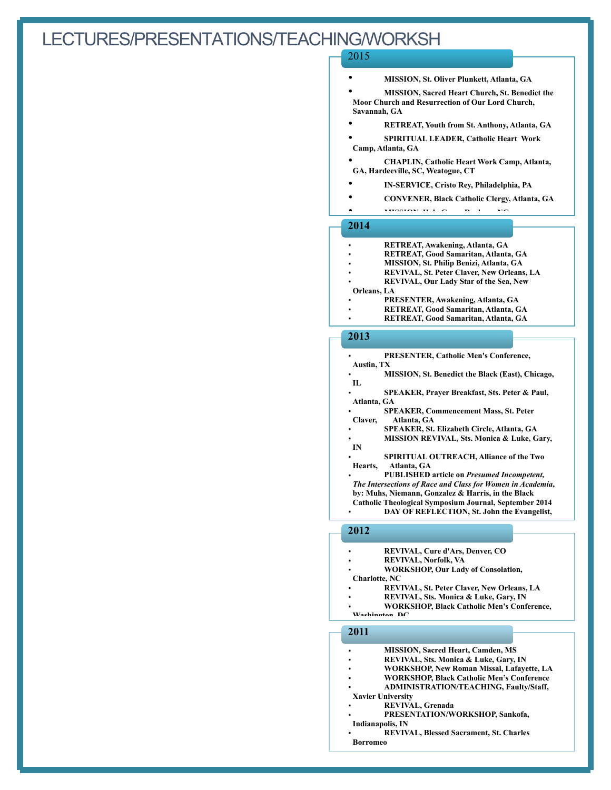# LECTURES/PRESENTATIONS/TEACHING/WORKSH

### 2015

- **MISSION, St. Oliver Plunkett, Atlanta, GA**
- **MISSION, Sacred Heart Church, St. Benedict the Moor Church and Resurrection of Our Lord Church, Savannah, GA**
- **RETREAT, Youth from St. Anthony, Atlanta, GA**
- **SPIRITUAL LEADER, Catholic Heart Work Camp, Atlanta, GA**
- **CHAPLIN, Catholic Heart Work Camp, Atlanta, GA, Hardeeville, SC, Weatogue, CT**
- **IN-SERVICE, Cristo Rey, Philadelphia, PA**
- **CONVENER, Black Catholic Clergy, Atlanta, GA**
- **MISSION <sup>H</sup> <sup>l</sup> <sup>C</sup> <sup>D</sup> <sup>h</sup> NC**

### **2014**

- **RETREAT, Awakening, Atlanta, GA**
- **RETREAT, Good Samaritan, Atlanta, GA**
- **MISSION, St. Philip Benizi, Atlanta, GA**
- **REVIVAL, St. Peter Claver, New Orleans, LA**
- **REVIVAL, Our Lady Star of the Sea, New**

### **Orleans, LA**

- **PRESENTER, Awakening, Atlanta, GA**
- **RETREAT, Good Samaritan, Atlanta, GA**
- **RETREAT, Good Samaritan, Atlanta, GA**

### **2013**

- **PRESENTER, Catholic Men's Conference,**
- **Austin, TX**
	- **MISSION, St. Benedict the Black (East), Chicago, IL**
	- **SPEAKER, Prayer Breakfast, Sts. Peter & Paul, Atlanta, GA**
	- **SPEAKER, Commencement Mass, St. Peter Claver, Atlanta, GA**
	- **SPEAKER, St. Elizabeth Circle, Atlanta, GA**
	- **MISSION REVIVAL, Sts. Monica & Luke, Gary, IN**
	- **SPIRITUAL OUTREACH, Alliance of the Two Hearts, Atlanta, GA**
- **PUBLISHED article on** *Presumed Incompetent, The Intersections of Race and Class for Women in Academia***, by: Muhs, Niemann, Gonzalez & Harris, in the Black Catholic Theological Symposium Journal, September 2014** • **DAY OF REFLECTION, St. John the Evangelist,**

### **2012**

- **REVIVAL, Cure d'Ars, Denver, CO**
- **REVIVAL, Norfolk, VA**
- **WORKSHOP, Our Lady of Consolation, Charlotte, NC**
	- **REVIVAL, St. Peter Claver, New Orleans, LA**
	- **REVIVAL, Sts. Monica & Luke, Gary, IN**
- **WORKSHOP, Black Catholic Men's Conference, Washington DC**

### **2011**

- **MISSION, Sacred Heart, Camden, MS**
- **REVIVAL, Sts. Monica & Luke, Gary, IN**
- **WORKSHOP, New Roman Missal, Lafayette, LA**
- **WORKSHOP, Black Catholic Men's Conference**
- **ADMINISTRATION/TEACHING, Faulty/Staff,**
- **Xavier University**
	- **REVIVAL, Grenada**
- **PRESENTATION/WORKSHOP, Sankofa, Indianapolis, IN**
- **REVIVAL, Blessed Sacrament, St. Charles Borromeo**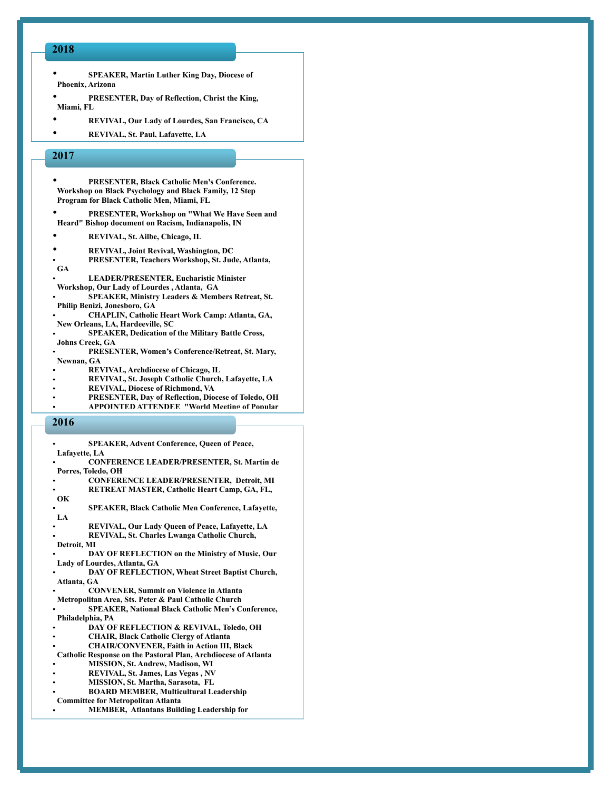### **2018**

- **SPEAKER, Martin Luther King Day, Diocese of Phoenix, Arizona**
- **PRESENTER, Day of Reflection, Christ the King, Miami, FL**
- **REVIVAL, Our Lady of Lourdes, San Francisco, CA**
- **REVIVAL, St. Paul, Lafayette, LA**

### **2017**

- **PRESENTER, Black Catholic Men's Conference. Workshop on Black Psychology and Black Family, 12 Step Program for Black Catholic Men, Miami, FL**
- **PRESENTER, Workshop on "What We Have Seen and Heard" Bishop document on Racism, Indianapolis, IN**
- **REVIVAL, St. Ailbe, Chicago, IL**
- **REVIVAL, Joint Revival, Washington, DC**
- **PRESENTER, Teachers Workshop, St. Jude, Atlanta, GA**
- **LEADER/PRESENTER, Eucharistic Minister Workshop, Our Lady of Lourdes , Atlanta, GA**
- **SPEAKER, Ministry Leaders & Members Retreat, St. Philip Benizi, Jonesboro, GA**
- **CHAPLIN, Catholic Heart Work Camp: Atlanta, GA, New Orleans, LA, Hardeeville, SC**
- **SPEAKER, Dedication of the Military Battle Cross, Johns Creek, GA**
- **PRESENTER, Women's Conference/Retreat, St. Mary, Newnan, GA**
- **REVIVAL, Archdiocese of Chicago, IL**
- **REVIVAL, St. Joseph Catholic Church, Lafayette, LA**
- **REVIVAL, Diocese of Richmond, VA**
- **PRESENTER, Day of Reflection, Diocese of Toledo, OH**
- **APPOINTED ATTENDEE "World Meeting of Popular**

### **2016**

- **SPEAKER, Advent Conference, Queen of Peace, Lafayette, LA** • **CONFERENCE LEADER/PRESENTER, St. Martin de Porres, Toledo, OH**
- **CONFERENCE LEADER/PRESENTER, Detroit, MI**
- **RETREAT MASTER, Catholic Heart Camp, GA, FL,**
- **OK** • **SPEAKER, Black Catholic Men Conference, Lafayette,**
- **LA** • **REVIVAL, Our Lady Queen of Peace, Lafayette, LA**
- **REVIVAL, St. Charles Lwanga Catholic Church,**
- **Detroit, MI**
- **DAY OF REFLECTION on the Ministry of Music, Our Lady of Lourdes, Atlanta, GA**
- **DAY OF REFLECTION, Wheat Street Baptist Church, Atlanta, GA**
- **CONVENER, Summit on Violence in Atlanta Metropolitan Area, Sts. Peter & Paul Catholic Church**
- **SPEAKER, National Black Catholic Men's Conference, Philadelphia, PA**
- **DAY OF REFLECTION & REVIVAL, Toledo, OH**
- **CHAIR, Black Catholic Clergy of Atlanta**
- **CHAIR/CONVENER, Faith in Action III, Black**
- **Catholic Response on the Pastoral Plan, Archdiocese of Atlanta**
- **MISSION, St. Andrew, Madison, WI**
- **REVIVAL, St. James, Las Vegas , NV**
- **MISSION, St. Martha, Sarasota, FL**
- **BOARD MEMBER, Multicultural Leadership**
- **Committee for Metropolitan Atlanta**
- **MEMBER, Atlantans Building Leadership for**